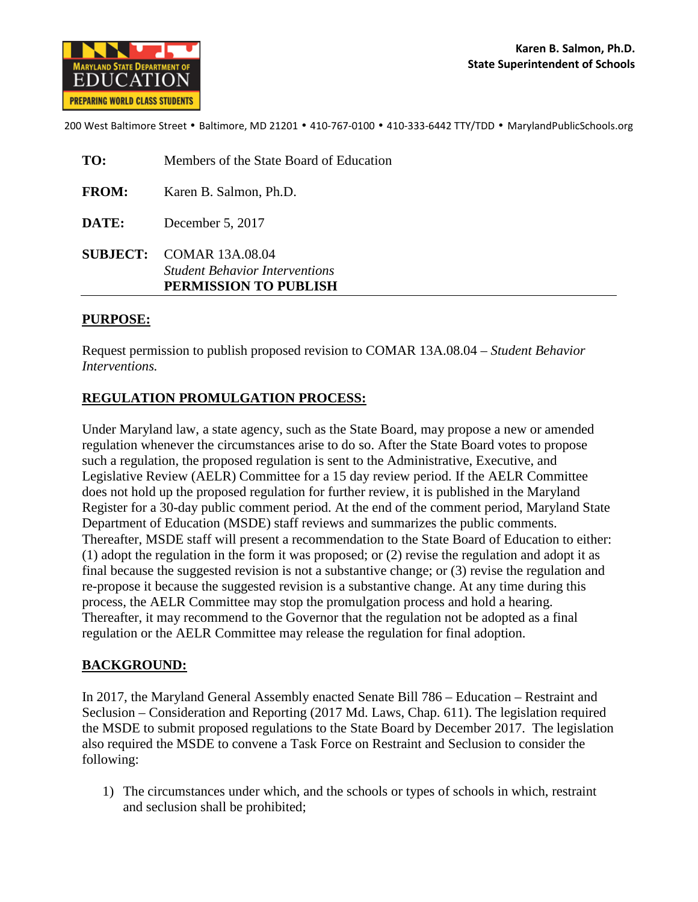

200 West Baltimore Street • Baltimore, MD 21201 • 410-767-0100 • 410-333-6442 TTY/TDD • MarylandPublicSchools.org

| TO:          | Members of the State Board of Education                                                    |
|--------------|--------------------------------------------------------------------------------------------|
| <b>FROM:</b> | Karen B. Salmon, Ph.D.                                                                     |
| DATE:        | December 5, 2017                                                                           |
|              | SUBJECT: COMAR 13A.08.04<br><b>Student Behavior Interventions</b><br>PERMISSION TO PUBLISH |

#### **PURPOSE:**

Request permission to publish proposed revision to COMAR 13A.08.04 – *Student Behavior Interventions.* 

### **REGULATION PROMULGATION PROCESS:**

Under Maryland law, a state agency, such as the State Board, may propose a new or amended regulation whenever the circumstances arise to do so. After the State Board votes to propose such a regulation, the proposed regulation is sent to the Administrative, Executive, and Legislative Review (AELR) Committee for a 15 day review period. If the AELR Committee does not hold up the proposed regulation for further review, it is published in the Maryland Register for a 30-day public comment period. At the end of the comment period, Maryland State Department of Education (MSDE) staff reviews and summarizes the public comments. Thereafter, MSDE staff will present a recommendation to the State Board of Education to either: (1) adopt the regulation in the form it was proposed; or (2) revise the regulation and adopt it as final because the suggested revision is not a substantive change; or (3) revise the regulation and re-propose it because the suggested revision is a substantive change. At any time during this process, the AELR Committee may stop the promulgation process and hold a hearing. Thereafter, it may recommend to the Governor that the regulation not be adopted as a final regulation or the AELR Committee may release the regulation for final adoption.

#### **BACKGROUND:**

In 2017, the Maryland General Assembly enacted Senate Bill 786 – Education – Restraint and Seclusion – Consideration and Reporting (2017 Md. Laws, Chap. 611). The legislation required the MSDE to submit proposed regulations to the State Board by December 2017. The legislation also required the MSDE to convene a Task Force on Restraint and Seclusion to consider the following:

1) The circumstances under which, and the schools or types of schools in which, restraint and seclusion shall be prohibited;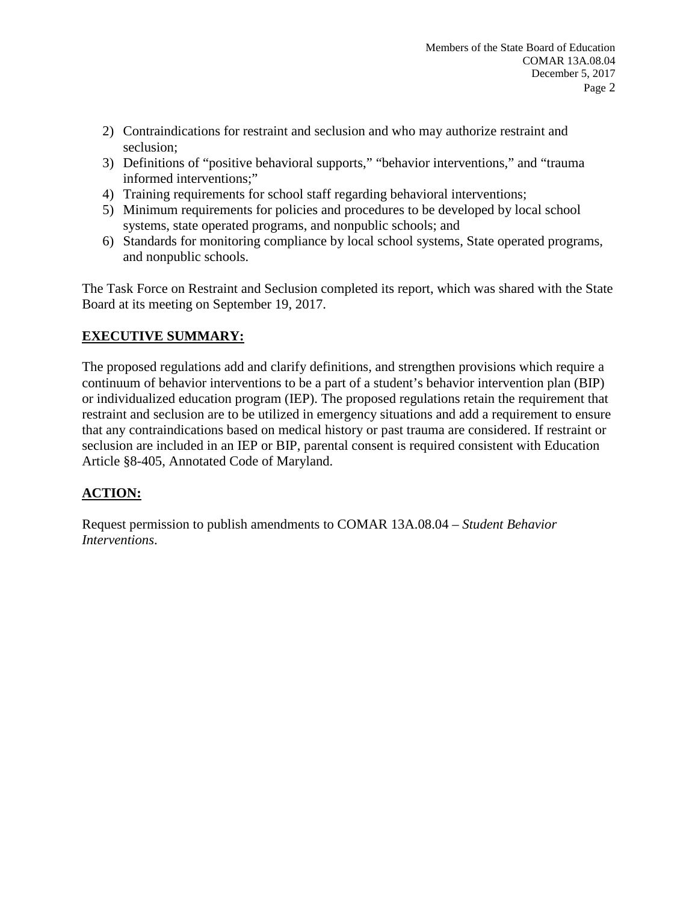- 2) Contraindications for restraint and seclusion and who may authorize restraint and seclusion;
- 3) Definitions of "positive behavioral supports," "behavior interventions," and "trauma informed interventions;"
- 4) Training requirements for school staff regarding behavioral interventions;
- 5) Minimum requirements for policies and procedures to be developed by local school systems, state operated programs, and nonpublic schools; and
- 6) Standards for monitoring compliance by local school systems, State operated programs, and nonpublic schools.

The Task Force on Restraint and Seclusion completed its report, which was shared with the State Board at its meeting on September 19, 2017.

# **EXECUTIVE SUMMARY:**

The proposed regulations add and clarify definitions, and strengthen provisions which require a continuum of behavior interventions to be a part of a student's behavior intervention plan (BIP) or individualized education program (IEP). The proposed regulations retain the requirement that restraint and seclusion are to be utilized in emergency situations and add a requirement to ensure that any contraindications based on medical history or past trauma are considered. If restraint or seclusion are included in an IEP or BIP, parental consent is required consistent with Education Article §8-405, Annotated Code of Maryland.

# **ACTION:**

Request permission to publish amendments to COMAR 13A.08.04 – *Student Behavior Interventions*.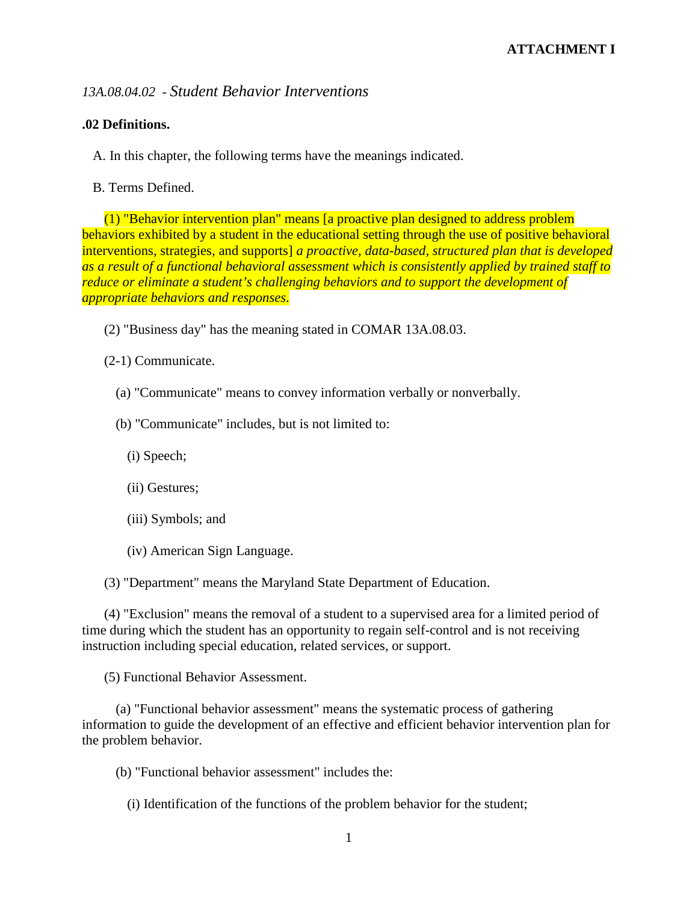## *13A.08.04.02 - Student Behavior Interventions*

### **.02 Definitions.**

A. In this chapter, the following terms have the meanings indicated.

B. Terms Defined.

(1) "Behavior intervention plan" means [a proactive plan designed to address problem behaviors exhibited by a student in the educational setting through the use of positive behavioral interventions, strategies, and supports] *a proactive, data-based, structured plan that is developed as a result of a functional behavioral assessment which is consistently applied by trained staff to reduce or eliminate a student's challenging behaviors and to support the development of appropriate behaviors and responses*.

(2) "Business day" has the meaning stated in COMAR 13A.08.03.

(2-1) Communicate.

- (a) "Communicate" means to convey information verbally or nonverbally.
- (b) "Communicate" includes, but is not limited to:
	- (i) Speech;
	- (ii) Gestures;
	- (iii) Symbols; and
	- (iv) American Sign Language.

(3) "Department" means the Maryland State Department of Education.

(4) "Exclusion" means the removal of a student to a supervised area for a limited period of time during which the student has an opportunity to regain self-control and is not receiving instruction including special education, related services, or support.

(5) Functional Behavior Assessment.

(a) "Functional behavior assessment" means the systematic process of gathering information to guide the development of an effective and efficient behavior intervention plan for the problem behavior.

- (b) "Functional behavior assessment" includes the:
	- (i) Identification of the functions of the problem behavior for the student;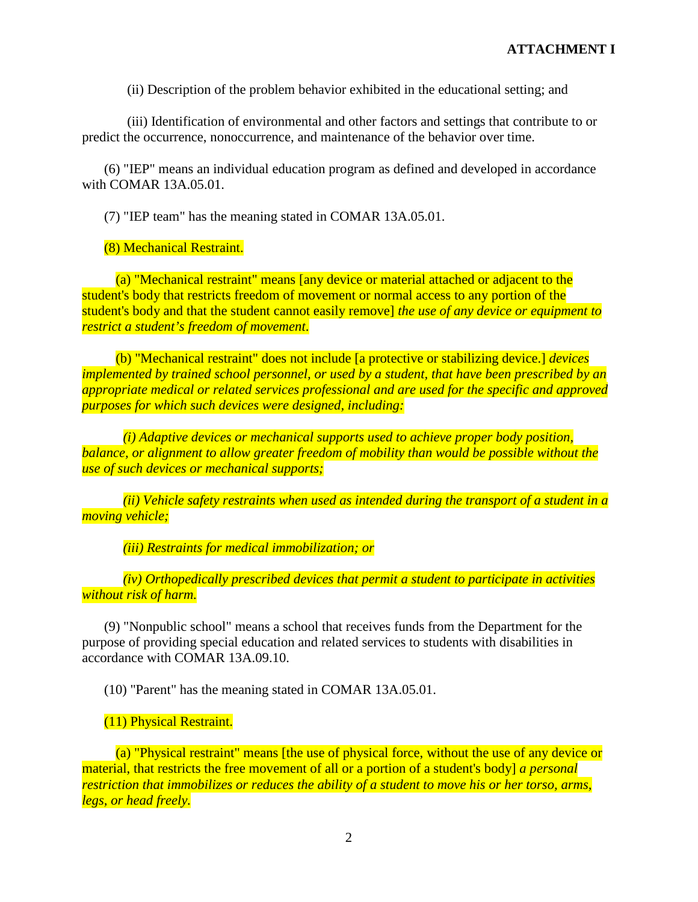(ii) Description of the problem behavior exhibited in the educational setting; and

(iii) Identification of environmental and other factors and settings that contribute to or predict the occurrence, nonoccurrence, and maintenance of the behavior over time.

(6) "IEP" means an individual education program as defined and developed in accordance with COMAR 13A.05.01.

(7) "IEP team" has the meaning stated in COMAR 13A.05.01.

(8) Mechanical Restraint.

(a) "Mechanical restraint" means [any device or material attached or adjacent to the student's body that restricts freedom of movement or normal access to any portion of the student's body and that the student cannot easily remove] *the use of any device or equipment to restrict a student's freedom of movement*.

(b) "Mechanical restraint" does not include [a protective or stabilizing device.] *devices implemented by trained school personnel, or used by a student, that have been prescribed by an appropriate medical or related services professional and are used for the specific and approved purposes for which such devices were designed, including:*

*(i) Adaptive devices or mechanical supports used to achieve proper body position, balance, or alignment to allow greater freedom of mobility than would be possible without the use of such devices or mechanical supports;*

*(ii) Vehicle safety restraints when used as intended during the transport of a student in a moving vehicle;*

*(iii) Restraints for medical immobilization; or*

*(iv) Orthopedically prescribed devices that permit a student to participate in activities without risk of harm.*

(9) "Nonpublic school" means a school that receives funds from the Department for the purpose of providing special education and related services to students with disabilities in accordance with COMAR 13A.09.10.

(10) "Parent" has the meaning stated in COMAR 13A.05.01.

(11) Physical Restraint.

(a) "Physical restraint" means [the use of physical force, without the use of any device or material, that restricts the free movement of all or a portion of a student's body] *a personal restriction that immobilizes or reduces the ability of a student to move his or her torso, arms, legs, or head freely.*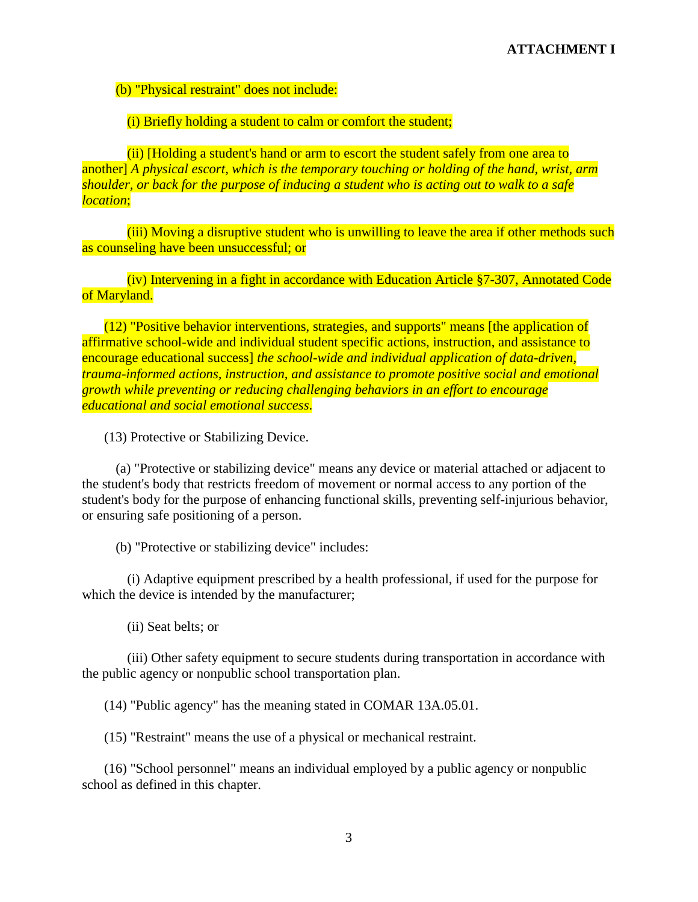(b) "Physical restraint" does not include:

(i) Briefly holding a student to calm or comfort the student;

(ii) [Holding a student's hand or arm to escort the student safely from one area to another] *A physical escort, which is the temporary touching or holding of the hand, wrist, arm shoulder, or back for the purpose of inducing a student who is acting out to walk to a safe location*;

(iii) Moving a disruptive student who is unwilling to leave the area if other methods such as counseling have been unsuccessful; or

(iv) Intervening in a fight in accordance with Education Article §7-307, Annotated Code of Maryland.

(12) "Positive behavior interventions, strategies, and supports" means [the application of affirmative school-wide and individual student specific actions, instruction, and assistance to encourage educational success] *the school-wide and individual application of data-driven, trauma-informed actions, instruction, and assistance to promote positive social and emotional growth while preventing or reducing challenging behaviors in an effort to encourage educational and social emotional success*.

(13) Protective or Stabilizing Device.

(a) "Protective or stabilizing device" means any device or material attached or adjacent to the student's body that restricts freedom of movement or normal access to any portion of the student's body for the purpose of enhancing functional skills, preventing self-injurious behavior, or ensuring safe positioning of a person.

(b) "Protective or stabilizing device" includes:

(i) Adaptive equipment prescribed by a health professional, if used for the purpose for which the device is intended by the manufacturer;

(ii) Seat belts; or

(iii) Other safety equipment to secure students during transportation in accordance with the public agency or nonpublic school transportation plan.

(14) "Public agency" has the meaning stated in COMAR 13A.05.01.

(15) "Restraint" means the use of a physical or mechanical restraint.

(16) "School personnel" means an individual employed by a public agency or nonpublic school as defined in this chapter.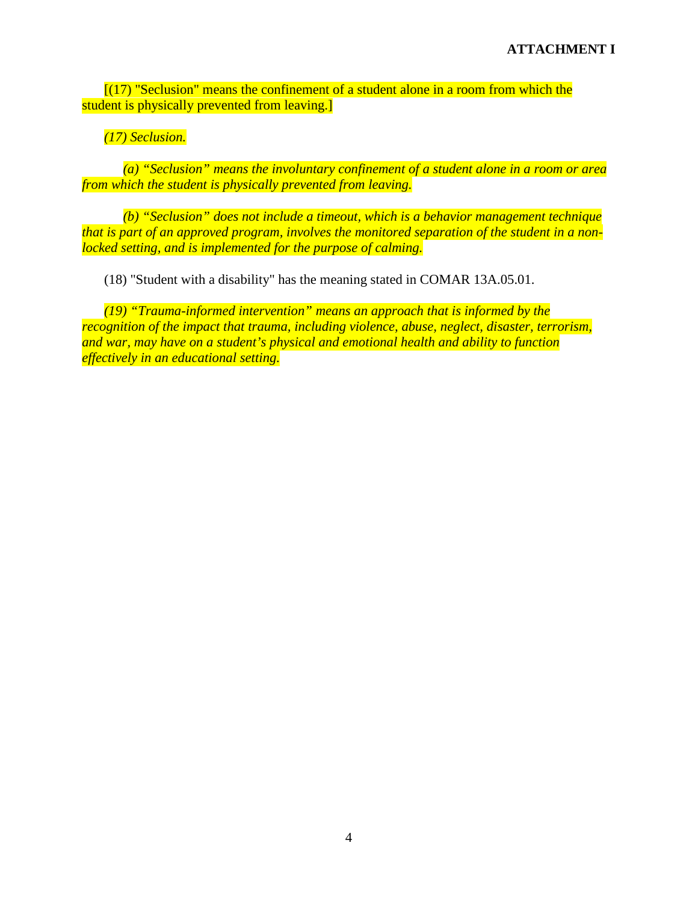$(17)$  "Seclusion" means the confinement of a student alone in a room from which the student is physically prevented from leaving.

*(17) Seclusion.*

*(a) "Seclusion" means the involuntary confinement of a student alone in a room or area from which the student is physically prevented from leaving.*

*(b) "Seclusion" does not include a timeout, which is a behavior management technique that is part of an approved program, involves the monitored separation of the student in a nonlocked setting, and is implemented for the purpose of calming.*

(18) "Student with a disability" has the meaning stated in COMAR 13A.05.01.

*(19) "Trauma-informed intervention" means an approach that is informed by the recognition of the impact that trauma, including violence, abuse, neglect, disaster, terrorism, and war, may have on a student's physical and emotional health and ability to function effectively in an educational setting.*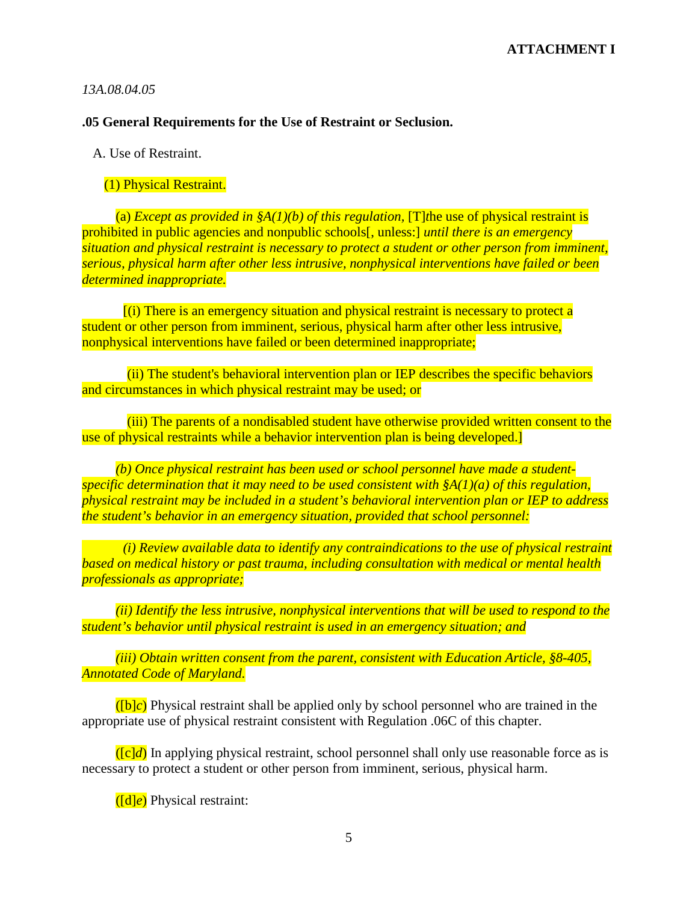#### *13A.08.04.05*

### **.05 General Requirements for the Use of Restraint or Seclusion.**

A. Use of Restraint.

### (1) Physical Restraint.

(a) *Except as provided in*  $\frac{\mathcal{S}(1)(b)}{\mathcal{S}(1)(b)}$  *of this regulation,* [T]*the use of physical restraint is* prohibited in public agencies and nonpublic schools[, unless:] *until there is an emergency situation and physical restraint is necessary to protect a student or other person from imminent, serious, physical harm after other less intrusive, nonphysical interventions have failed or been determined inappropriate.*

[(i) There is an emergency situation and physical restraint is necessary to protect a student or other person from imminent, serious, physical harm after other less intrusive, nonphysical interventions have failed or been determined inappropriate;

(ii) The student's behavioral intervention plan or IEP describes the specific behaviors and circumstances in which physical restraint may be used; or

(iii) The parents of a nondisabled student have otherwise provided written consent to the use of physical restraints while a behavior intervention plan is being developed.]

*(b) Once physical restraint has been used or school personnel have made a studentspecific determination that it may need to be used consistent with §A(1)(a) of this regulation, physical restraint may be included in a student's behavioral intervention plan or IEP to address the student's behavior in an emergency situation, provided that school personnel:*

*(i) Review available data to identify any contraindications to the use of physical restraint based on medical history or past trauma, including consultation with medical or mental health professionals as appropriate;*

*(ii) Identify the less intrusive, nonphysical interventions that will be used to respond to the student's behavior until physical restraint is used in an emergency situation; and*

*(iii) Obtain written consent from the parent, consistent with Education Article, §8-405, Annotated Code of Maryland.*

([b]*c*) Physical restraint shall be applied only by school personnel who are trained in the appropriate use of physical restraint consistent with Regulation .06C of this chapter.

 $(\lceil c \rceil d)$  In applying physical restraint, school personnel shall only use reasonable force as is necessary to protect a student or other person from imminent, serious, physical harm.

([d]*e*) Physical restraint: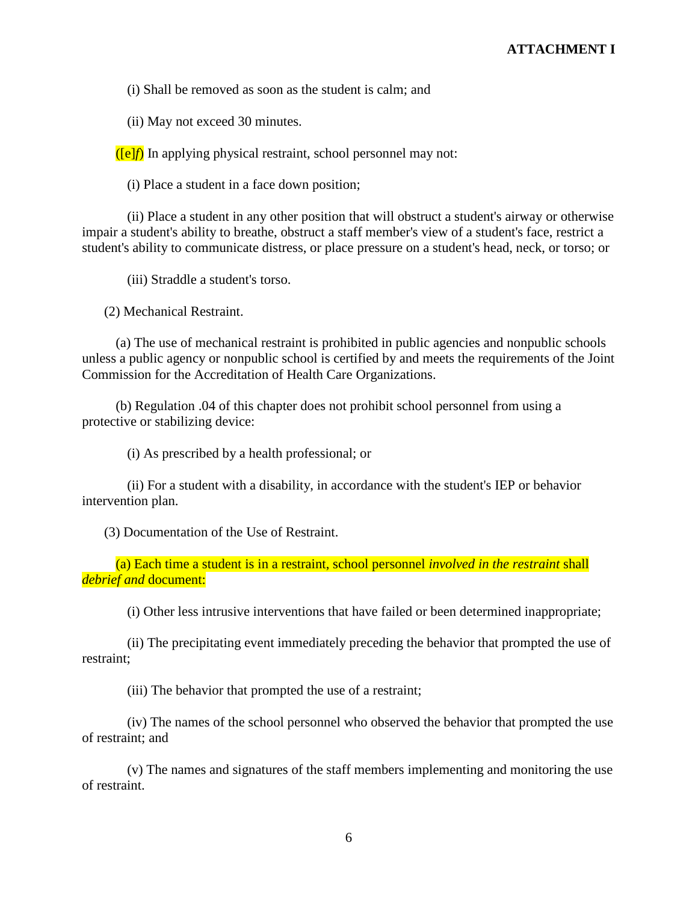(i) Shall be removed as soon as the student is calm; and

(ii) May not exceed 30 minutes.

([e]*f*) In applying physical restraint, school personnel may not:

(i) Place a student in a face down position;

(ii) Place a student in any other position that will obstruct a student's airway or otherwise impair a student's ability to breathe, obstruct a staff member's view of a student's face, restrict a student's ability to communicate distress, or place pressure on a student's head, neck, or torso; or

(iii) Straddle a student's torso.

(2) Mechanical Restraint.

(a) The use of mechanical restraint is prohibited in public agencies and nonpublic schools unless a public agency or nonpublic school is certified by and meets the requirements of the Joint Commission for the Accreditation of Health Care Organizations.

(b) Regulation .04 of this chapter does not prohibit school personnel from using a protective or stabilizing device:

(i) As prescribed by a health professional; or

(ii) For a student with a disability, in accordance with the student's IEP or behavior intervention plan.

(3) Documentation of the Use of Restraint.

(a) Each time a student is in a restraint, school personnel *involved in the restraint* shall *debrief and* document:

(i) Other less intrusive interventions that have failed or been determined inappropriate;

(ii) The precipitating event immediately preceding the behavior that prompted the use of restraint;

(iii) The behavior that prompted the use of a restraint;

(iv) The names of the school personnel who observed the behavior that prompted the use of restraint; and

(v) The names and signatures of the staff members implementing and monitoring the use of restraint.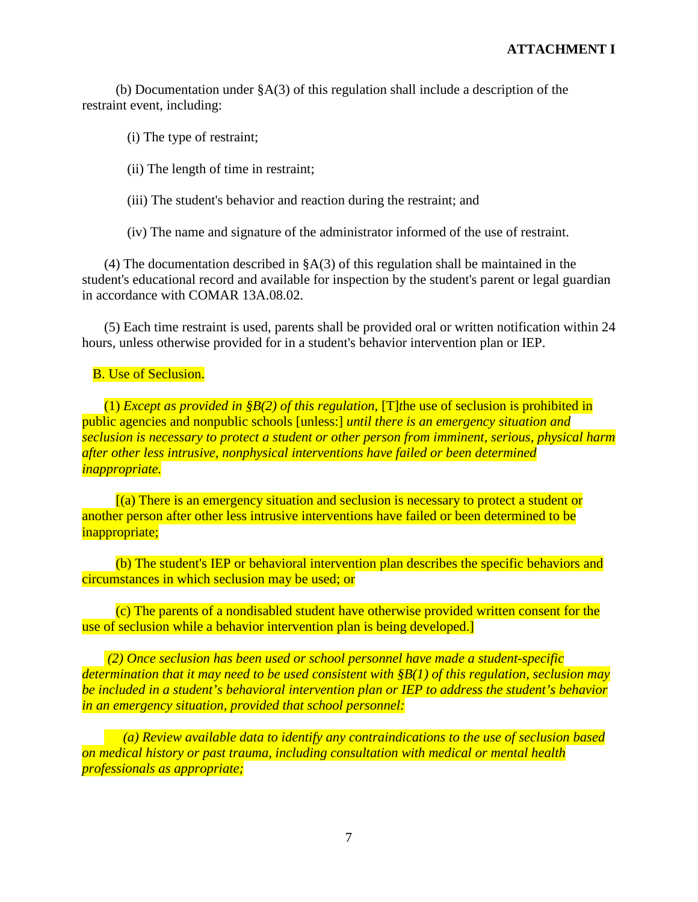(b) Documentation under §A(3) of this regulation shall include a description of the restraint event, including:

(i) The type of restraint;

(ii) The length of time in restraint;

(iii) The student's behavior and reaction during the restraint; and

(iv) The name and signature of the administrator informed of the use of restraint.

(4) The documentation described in §A(3) of this regulation shall be maintained in the student's educational record and available for inspection by the student's parent or legal guardian in accordance with COMAR 13A.08.02.

(5) Each time restraint is used, parents shall be provided oral or written notification within 24 hours, unless otherwise provided for in a student's behavior intervention plan or IEP.

### B. Use of Seclusion.

(1) *Except as provided in §B(2) of this regulation,* [T]*t*he use of seclusion is prohibited in public agencies and nonpublic schools [unless:] *until there is an emergency situation and seclusion is necessary to protect a student or other person from imminent, serious, physical harm after other less intrusive, nonphysical interventions have failed or been determined inappropriate.*

[(a) There is an emergency situation and seclusion is necessary to protect a student or another person after other less intrusive interventions have failed or been determined to be inappropriate;

(b) The student's IEP or behavioral intervention plan describes the specific behaviors and circumstances in which seclusion may be used; or

(c) The parents of a nondisabled student have otherwise provided written consent for the use of seclusion while a behavior intervention plan is being developed.]

*(2) Once seclusion has been used or school personnel have made a student-specific determination that it may need to be used consistent with §B(1) of this regulation, seclusion may be included in a student's behavioral intervention plan or IEP to address the student's behavior in an emergency situation, provided that school personnel:*

*(a) Review available data to identify any contraindications to the use of seclusion based on medical history or past trauma, including consultation with medical or mental health professionals as appropriate;*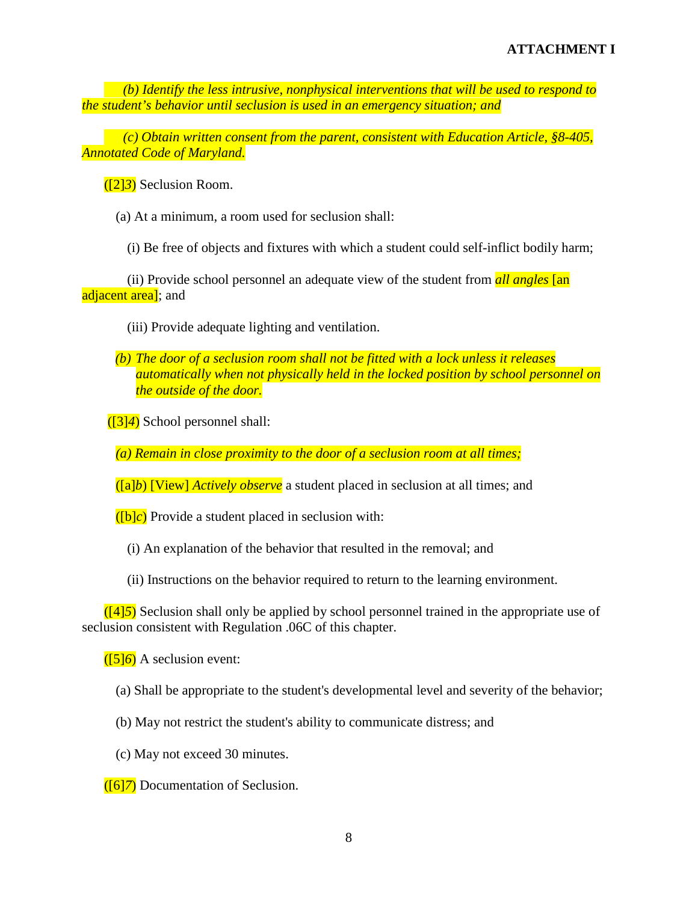*(b) Identify the less intrusive, nonphysical interventions that will be used to respond to the student's behavior until seclusion is used in an emergency situation; and*

*(c) Obtain written consent from the parent, consistent with Education Article, §8-405, Annotated Code of Maryland.*

([2]*3*) Seclusion Room.

(a) At a minimum, a room used for seclusion shall:

(i) Be free of objects and fixtures with which a student could self-inflict bodily harm;

(ii) Provide school personnel an adequate view of the student from *all angles* [an adjacent area]; and

- (iii) Provide adequate lighting and ventilation.
- *(b) The door of a seclusion room shall not be fitted with a lock unless it releases automatically when not physically held in the locked position by school personnel on the outside of the door.*
- ([3]*4*) School personnel shall:

*(a) Remain in close proximity to the door of a seclusion room at all times;*

([a]*b*) [View] *Actively observe* a student placed in seclusion at all times; and

([b]*c*) Provide a student placed in seclusion with:

(i) An explanation of the behavior that resulted in the removal; and

(ii) Instructions on the behavior required to return to the learning environment.

([4]*5*) Seclusion shall only be applied by school personnel trained in the appropriate use of seclusion consistent with Regulation .06C of this chapter.

([5]*6*) A seclusion event:

- (a) Shall be appropriate to the student's developmental level and severity of the behavior;
- (b) May not restrict the student's ability to communicate distress; and
- (c) May not exceed 30 minutes.

([6]*7*) Documentation of Seclusion.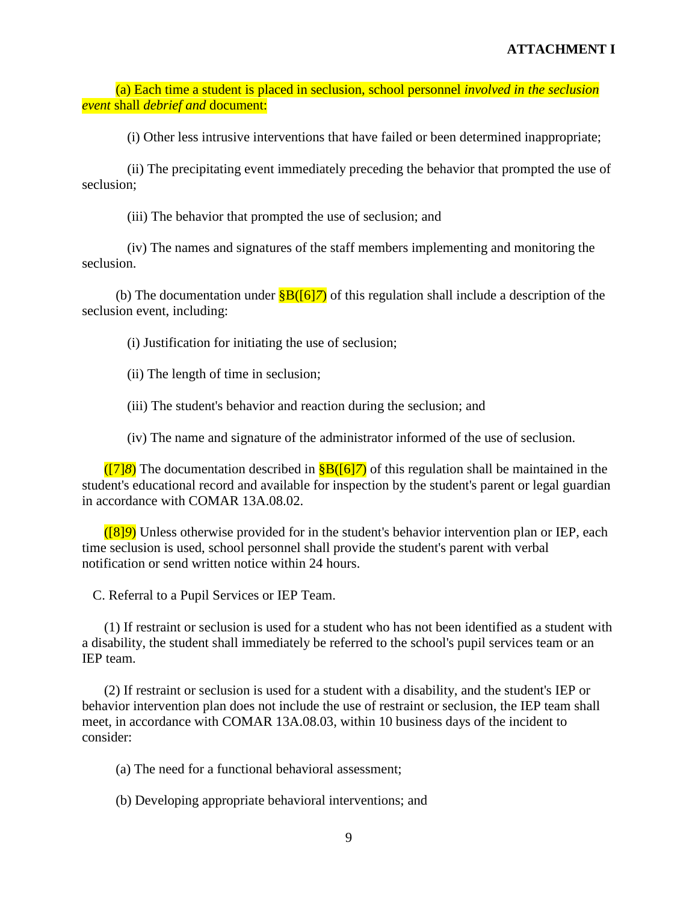(a) Each time a student is placed in seclusion, school personnel *involved in the seclusion event* shall *debrief and* document:

(i) Other less intrusive interventions that have failed or been determined inappropriate;

(ii) The precipitating event immediately preceding the behavior that prompted the use of seclusion;

(iii) The behavior that prompted the use of seclusion; and

(iv) The names and signatures of the staff members implementing and monitoring the seclusion.

(b) The documentation under  $\frac{\text{gB}(\text{f617})}{\text{gB}(\text{f617})}$  of this regulation shall include a description of the seclusion event, including:

(i) Justification for initiating the use of seclusion;

(ii) The length of time in seclusion;

(iii) The student's behavior and reaction during the seclusion; and

(iv) The name and signature of the administrator informed of the use of seclusion.

([7]*8*) The documentation described in §B([6]*7*) of this regulation shall be maintained in the student's educational record and available for inspection by the student's parent or legal guardian in accordance with COMAR 13A.08.02.

([8]*9*) Unless otherwise provided for in the student's behavior intervention plan or IEP, each time seclusion is used, school personnel shall provide the student's parent with verbal notification or send written notice within 24 hours.

C. Referral to a Pupil Services or IEP Team.

(1) If restraint or seclusion is used for a student who has not been identified as a student with a disability, the student shall immediately be referred to the school's pupil services team or an IEP team.

(2) If restraint or seclusion is used for a student with a disability, and the student's IEP or behavior intervention plan does not include the use of restraint or seclusion, the IEP team shall meet, in accordance with COMAR 13A.08.03, within 10 business days of the incident to consider:

(a) The need for a functional behavioral assessment;

(b) Developing appropriate behavioral interventions; and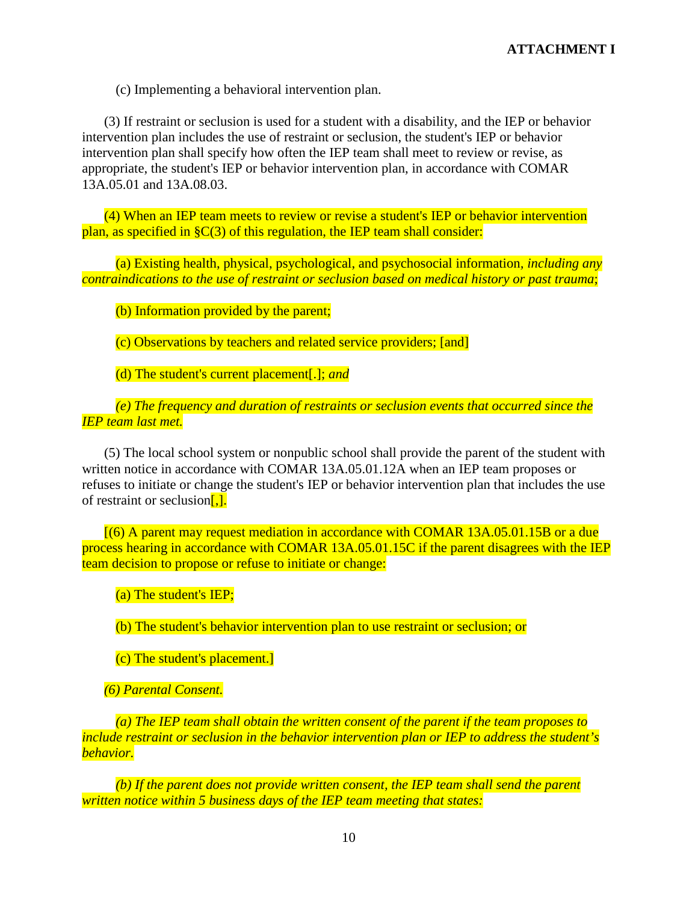(c) Implementing a behavioral intervention plan.

(3) If restraint or seclusion is used for a student with a disability, and the IEP or behavior intervention plan includes the use of restraint or seclusion, the student's IEP or behavior intervention plan shall specify how often the IEP team shall meet to review or revise, as appropriate, the student's IEP or behavior intervention plan, in accordance with COMAR 13A.05.01 and 13A.08.03.

(4) When an IEP team meets to review or revise a student's IEP or behavior intervention plan, as specified in §C(3) of this regulation, the IEP team shall consider:

(a) Existing health, physical, psychological, and psychosocial information*, including any contraindications to the use of restraint or seclusion based on medical history or past trauma*;

(b) Information provided by the parent;

(c) Observations by teachers and related service providers; [and]

(d) The student's current placement[.]; *and*

*(e) The frequency and duration of restraints or seclusion events that occurred since the IEP team last met.*

(5) The local school system or nonpublic school shall provide the parent of the student with written notice in accordance with COMAR 13A.05.01.12A when an IEP team proposes or refuses to initiate or change the student's IEP or behavior intervention plan that includes the use of restraint or seclusion $\sqrt{1}$ .

[(6) A parent may request mediation in accordance with COMAR 13A.05.01.15B or a due process hearing in accordance with COMAR 13A.05.01.15C if the parent disagrees with the IEP team decision to propose or refuse to initiate or change:

(a) The student's IEP;

(b) The student's behavior intervention plan to use restraint or seclusion; or

(c) The student's placement.]

*(6) Parental Consent.*

*(a) The IEP team shall obtain the written consent of the parent if the team proposes to include restraint or seclusion in the behavior intervention plan or IEP to address the student's behavior.*

*(b) If the parent does not provide written consent, the IEP team shall send the parent written notice within 5 business days of the IEP team meeting that states:*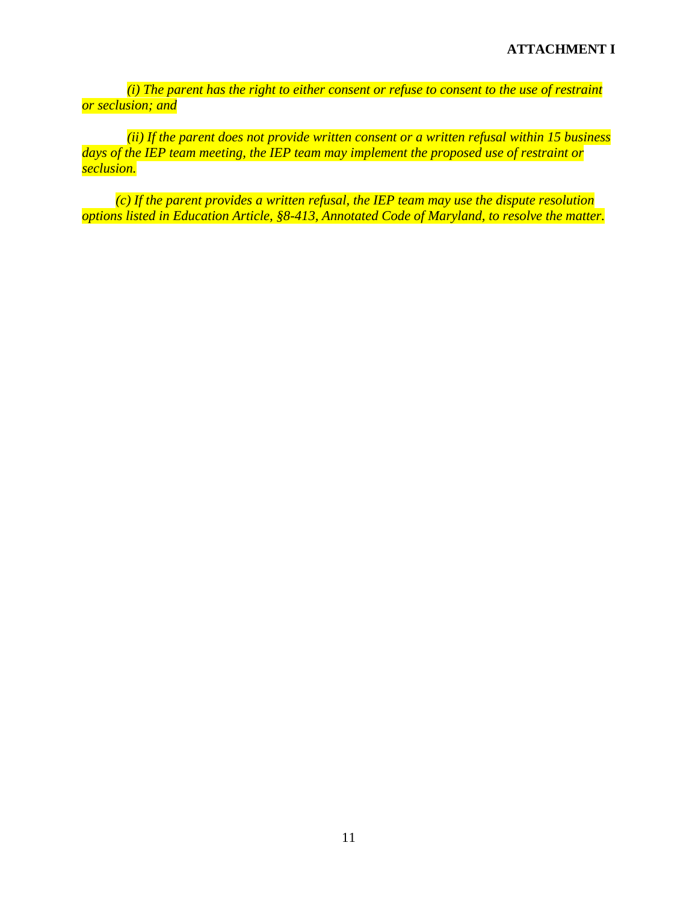*(i) The parent has the right to either consent or refuse to consent to the use of restraint or seclusion; and*

*(ii) If the parent does not provide written consent or a written refusal within 15 business days of the IEP team meeting, the IEP team may implement the proposed use of restraint or seclusion.* 

*(c) If the parent provides a written refusal, the IEP team may use the dispute resolution options listed in Education Article, §8-413, Annotated Code of Maryland, to resolve the matter.*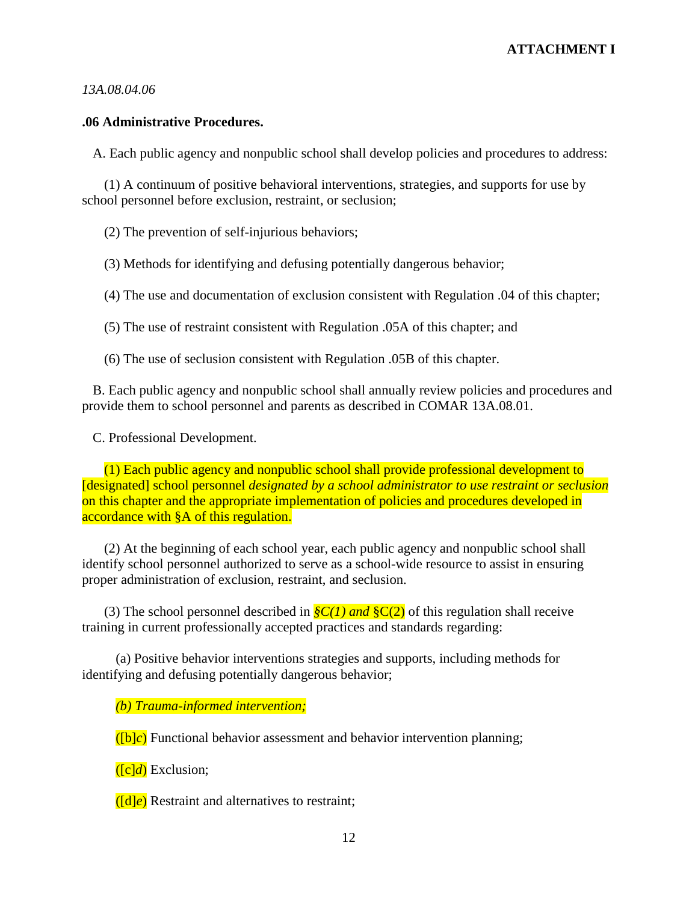#### *13A.08.04.06*

#### **.06 Administrative Procedures.**

A. Each public agency and nonpublic school shall develop policies and procedures to address:

(1) A continuum of positive behavioral interventions, strategies, and supports for use by school personnel before exclusion, restraint, or seclusion;

(2) The prevention of self-injurious behaviors;

(3) Methods for identifying and defusing potentially dangerous behavior;

(4) The use and documentation of exclusion consistent with Regulation .04 of this chapter;

(5) The use of restraint consistent with Regulation .05A of this chapter; and

(6) The use of seclusion consistent with Regulation .05B of this chapter.

B. Each public agency and nonpublic school shall annually review policies and procedures and provide them to school personnel and parents as described in COMAR 13A.08.01.

C. Professional Development.

(1) Each public agency and nonpublic school shall provide professional development to [designated] school personnel *designated by a school administrator to use restraint or seclusion* on this chapter and the appropriate implementation of policies and procedures developed in accordance with §A of this regulation.

(2) At the beginning of each school year, each public agency and nonpublic school shall identify school personnel authorized to serve as a school-wide resource to assist in ensuring proper administration of exclusion, restraint, and seclusion.

(3) The school personnel described in *§C(1) and* §C(2) of this regulation shall receive training in current professionally accepted practices and standards regarding:

(a) Positive behavior interventions strategies and supports, including methods for identifying and defusing potentially dangerous behavior;

*(b) Trauma-informed intervention;*

([b]*c*) Functional behavior assessment and behavior intervention planning;

([c]*d*) Exclusion;

([d]*e*) Restraint and alternatives to restraint;